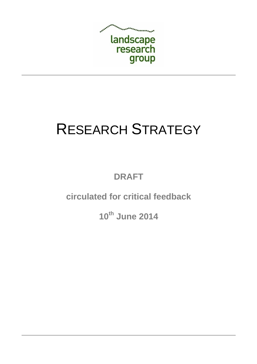

# RESEARCH STRATEGY

**DRAFT** 

**circulated for critical feedback** 

**10th June 2014**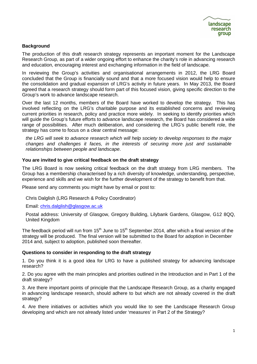#### **Background**

The production of this draft research strategy represents an important moment for the Landscape Research Group, as part of a wider ongoing effort to enhance the charity's role in advancing research and education, encouraging interest and exchanging information in the field of landscape.

In reviewing the Group's activities and organisational arrangements in 2012, the LRG Board concluded that the Group is financially sound and that a more focused vision would help to ensure the consolidation and gradual expansion of LRG's activity in future years. In May 2013, the Board agreed that a research strategy should form part of this focused vision, giving specific direction to the Group's work to advance landscape research.

Over the last 12 months, members of the Board have worked to develop the strategy. This has involved reflecting on the LRG's charitable purpose and its established concerns and reviewing current priorities in research, policy and practice more widely. In seeking to identify priorities which will guide the Group's future efforts to advance landscape research, the Board has considered a wide range of possibilities. After much deliberation, and considering the LRG's public benefit role, the strategy has come to focus on a clear central message:

the LRG will seek to advance research which will help society to develop responses to the major changes and challenges it faces, in the interests of securing more just and sustainable relationships between people and landscape.

#### **You are invited to give critical feedback on the draft strategy**

The LRG Board is now seeking critical feedback on the draft strategy from LRG members. The Group has a membership characterised by a rich diversity of knowledge, understanding, perspective, experience and skills and we wish for the further development of the strategy to benefit from that.

Please send any comments you might have by email or post to:

Chris Dalglish (LRG Research & Policy Coordinator)

Email: chris.dalglish@glasgow.ac.uk

Postal address: University of Glasgow, Gregory Building, Lilybank Gardens, Glasgow, G12 8QQ, United Kingdom

The feedback period will run from 15<sup>th</sup> June to 15<sup>th</sup> September 2014, after which a final version of the strategy will be produced. The final version will be submitted to the Board for adoption in December 2014 and, subject to adoption, published soon thereafter.

#### **Questions to consider in responding to the draft strategy**

1. Do you think it is a good idea for LRG to have a published strategy for advancing landscape research?

2. Do you agree with the main principles and priorities outlined in the Introduction and in Part 1 of the draft strategy?

3. Are there important points of principle that the Landscape Research Group, as a charity engaged in advancing landscape research, should adhere to but which are not already covered in the draft strategy?

4. Are there initiatives or activities which you would like to see the Landscape Research Group developing and which are not already listed under 'measures' in Part 2 of the Strategy?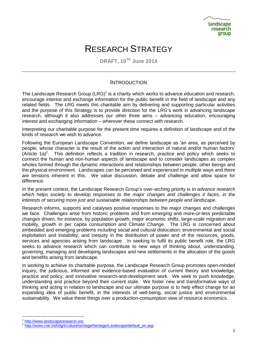# RESEARCH STRATEGY

**DRAFT, 10TH June 2014** 

#### **INTRODUCTION**

The Landscape Research Group (LRG)<sup>1</sup> is a charity which works to advance education and research, encourage interest and exchange information for the public benefit in the field of landscape and any related fields. The LRG meets this charitable aim by delivering and supporting particular activities and the purpose of this Strategy is to provide direction for the LRG's work in advancing landscape research, although it also addresses our other three aims – advancing education, encouraging interest and exchanging information – wherever these connect with research.

Interpreting our charitable purpose for the present time requires a definition of landscape and of the kinds of research we wish to advance.

Following the European Landscape Convention, we define landscape as 'an area, as perceived by people, whose character is the result of the action and interaction of natural and/or human factors'  $(A$ rticle 1a)<sup>2</sup>. This definition reflects a tradition in research, practice and policy which seeks to connect the human and non-human aspects of landscape and to consider landscapes as complex wholes formed through the dynamic interactions and relationships between people, other beings and the physical environment. Landscapes can be perceived and experienced in multiple ways and there are tensions inherent in this. We value discussion, debate and challenge and allow space for difference.

In the present context, the Landscape Research Group's over-arching priority is to advance research which helps society to develop responses to the major changes and challenges it faces, in the interests of securing more just and sustainable relationships between people and landscape.

Research informs, supports and catalyses positive responses to the major changes and challenges we face. Challenges arise from historic problems and from emerging and more-or-less predictable changes driven, for instance, by population growth, major economic shifts, large-scale migration and mobility, growth in per capita consumption and Climate Change. The LRG is concerned about embedded and emerging problems including social and cultural dislocation; environmental and social exploitation and instability; and inequity in the distribution of power and of the resources, goods, services and agencies arising from landscape. In seeking to fulfil its public benefit role, the LRG seeks to advance research which can contribute to new ways of thinking about, understanding, governing, managing and developing landscapes and new settlements in the allocation of the goods and benefits arising from landscape.

In working to achieve its charitable purpose, the Landscape Research Group promotes open-minded inquiry; the judicious, informed and evidence-based evaluation of current theory and knowledge, practice and policy; and innovative research-and-development work. We seek to push knowledge, understanding and practice beyond their current state. We foster new and transformative ways of thinking and acting in relation to landscape and our ultimate purpose is to help effect change for an expanding idea of public benefit, in the interests of well-being, social justice and environmental sustainability. We value these things over a production-consumption view of resource economics.

<sup>&</sup>lt;sup>1</sup> http://www.landscaperesearch.org<br><sup>2</sup> http://www.coo.int/t/da4/oulturebor

http://www.coe.int/t/dg4/cultureheritage/heritage/Landscape/default\_en.asp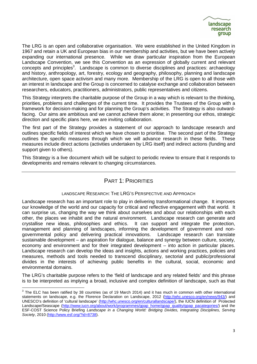The LRG is an open and collaborative organisation. We were established in the United Kingdom in 1967 and retain a UK and European bias in our membership and activities, but we have been actively expanding our international presence. While we draw particular inspiration from the European Landscape Convention, we see this Convention as an expression of globally current and relevant concepts and principles<sup>3</sup>. Landscape is common to diverse disciplines and practices: archaeology and history, anthropology, art, forestry, ecology and geography, philosophy, planning and landscape architecture, open space activism and many more. Membership of the LRG is open to all those with an interest in landscape and the Group is concerned to catalyse exchange and collaboration between researchers, educators, practitioners, administrators, public representatives and citizens.

This Strategy interprets the charitable purpose of the Group in a way which is relevant to the thinking, priorities, problems and challenges of the current time. It provides the Trustees of the Group with a framework for decision-making and for planning the Group's activities. The Strategy is also outwardfacing. Our aims are ambitious and we cannot achieve them alone; in presenting our ethos, strategic direction and specific plans here, we are inviting collaboration.

The first part of the Strategy provides a statement of our approach to landscape research and outlines specific fields of interest which we have chosen to prioritise. The second part of the Strategy outlines the specific measures through which we will advance research in these fields. These measures include direct actions (activities undertaken by LRG itself) and indirect actions (funding and support given to others).

This Strategy is a live document which will be subject to periodic review to ensure that it responds to developments and remains relevant to changing circumstances.

### PART 1: PRIORITIES

#### LANDSCAPE RESEARCH: THE LRG'S PERSPECTIVE AND APPROACH

Landscape research has an important role to play in delivering transformational change. It improves our knowledge of the world and our capacity for critical and reflective engagement with that world. It can surprise us, changing the way we think about ourselves and about our relationships with each other, the places we inhabit and the natural environment. Landscape research can generate and crystallise new ideas, philosophies and ethics. It can support and integrate the protection, management and planning of landscapes, informing the development of government and nongovernmental policy and delivering practical innovations. Landscape research can translate sustainable development – an aspiration for dialogue, balance and synergy between culture, society, economy and environment and for their integrated development – into action in particular places. Landscape research can develop the ideas and insights, actions and working practices, policies and measures, methods and tools needed to transcend disciplinary, sectorial and public/professional divides in the interests of achieving public benefits in the cultural, social, economic and environmental domains.

The LRG's charitable purpose refers to the 'field of landscape and any related fields' and this phrase is to be interpreted as implying a broad, inclusive and complex definition of landscape, such as that

 $3$  The ELC has been ratified by 38 countries (as of 19 March 2014) and it has much in common with other international statements on landscape, e.g. the Florence Declaration on Landscape, 2012 (http://whc.unesco.org/en/news/943/) and UNESCO's definition of 'cultural landscape' (http://whc.unesco.org/en/culturallandscape/), the IUCN definition of Protected Landscape/Seascape (http://www.iucn.org/about/work/programmes/gpap\_home/gpap\_quality/gpap\_pacategories/) and the ESF-COST Science Policy Briefing Landscape in a Changing World: Bridging Divides, Integrating Disciplines, Serving Society, 2010 (http://www.esf.org/?id=8738).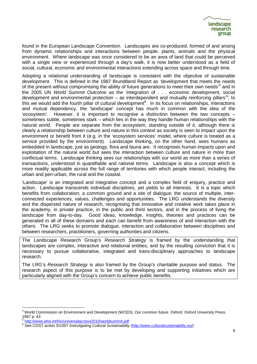found in the European Landscape Convention. Landscapes are co-produced, formed of and arising from dynamic relationships and interactions between people, plants, animals and the physical environment. Where landscape was once considered to be an area of land that could be perceived with a single view or experienced through a day's walk, it is now better understood as a field of social, cultural, economic and environmental interactions extending across space and through time.

Adopting a relational understanding of landscape is consistent with the objective of sustainable development. This is defined in the 1987 Brundtland Report as 'development that meets the needs of the present without compromising the ability of future generations to meet their own needs<sup>14</sup> and in the 2005 UN World Summit Outcome as the integration of . . . economic development, social development and environmental protection – as interdependent and mutually reinforcing pillars<sup>15</sup>; to this we would add the fourth pillar of cultural development<sup>6</sup>. In its focus on relationships, interactions and mutual dependency, the 'landscape' concept has much in common with the idea of the 'ecosystem'. However, it is important to recognise a distinction between the two concepts – sometimes subtle, sometimes stark – which lies in the way they handle human relationships with the natural world. People are separate from the ecosystem, standing outside of it, although there is clearly a relationship between culture and nature in this context as society is seen to impact upon the environment or benefit from it (e.g. in the 'ecosystem services' model, where culture is treated as a service provided by the environment). Landscape thinking, on the other hand, sees humans as embedded in landscape, just as geology, flora and fauna are. It recognises human impacts upon and exploitation of the natural world but sees the interaction between culture and nature in more than conflictual terms. Landscape thinking sees our relationships with our world as more than a series of transactions, understood in quantifiable and rational terms. Landscape is also a concept which is more readily applicable across the full range of territories with which people interact, including the urban and peri-urban, the rural and the coastal.

'Landscape' is an integrated and integrative concept and a complex field of enquiry, practice and action. Landscape transcends individual disciplines, yet yields to all interests. It is a topic which benefits from collaboration; a common ground and a site of dialogue; the source of multiple, interconnected experiences, values, challenges and opportunities. The LRG understands the diversity and the dispersed nature of research, recognising that innovative and creative work takes place in the academy, in private practice, in the public and third sectors, and in the process of living the landscape from day-to-day. Good ideas, knowledge, insights, theories and practices can be generated in all of these domains and each can benefit from awareness of and interaction with the others. The LRG seeks to promote dialogue, interaction and collaboration between disciplines and between researchers, practitioners, governing authorities and citizens.

The Landscape Research Group's Research Strategy is framed by the understanding that landscapes are complex, interactive and relational entities, and by the resulting conviction that it is necessary to pursue collaborative, integrated and trans-disciplinary approaches to landscape research.

The LRG's Research Strategy is also framed by the Group's charitable purpose and status. The research aspect of this purpose is to be met by developing and supporting initiatives which are particularly aligned with the Group's concern to achieve public benefits.

 4 World Commission on Environment and Development (WCED). Our common future. Oxford: Oxford University Press, 1987 p. 43

<sup>5</sup> http://www.who.int/hiv/universalaccess2010/worldsummit.pdf

<sup>&</sup>lt;sup>6</sup> See COST action SI1007 Investigating Cultural Sustainability (http://www.culturalsustainability.eu/)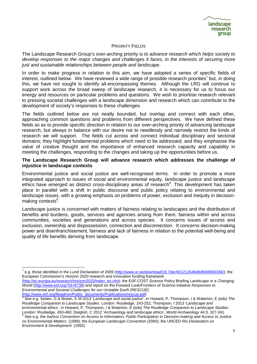#### PRIORITY FIELDS

The Landscape Research Group's over-arching priority is to advance research which helps society to develop responses to the major changes and challenges it faces, in the interests of securing more just and sustainable relationships between people and landscape.

In order to make progress in relation to this aim, we have adopted a series of specific fields of interest, outlined below. We have reviewed a wide range of possible research priorities<sup>7</sup> but, in doing this, we have not sought to identify all-encompassing themes. Although the LRG will continue to support work across the broad sweep of landscape research, it is necessary for us to focus our energy and resources on particular problems and questions. We wish to prioritise research relevant to pressing societal challenges with a landscape dimension and research which can contribute to the development of society's responses to these challenges.

The fields outlined below are not neatly bounded, but overlap and connect with each other, approaching common questions and problems from different perspectives. We have defined these fields so as to provide specific direction in relation to our over-arching priority of advancing landscape research, but always in balance with our desire not to needlessly and narrowly restrict the kinds of research we will support. The fields cut across and connect individual disciplinary and sectorial domains; they highlight fundamental problems which need to be addressed; and they emphasise the value of creative thought and the importance of enhanced research capacity and capability in meeting the challenges, responding to the changes and taking up the opportunities before us.

#### **The Landscape Research Group will advance research which addresses the challenge of injustice in landscape contexts**

Environmental justice and social justice are well-recognised terms. In order to promote a more integrated approach to issues of social and environmental equity, landscape justice and landscape ethics have emerged as distinct cross-disciplinary areas of research<sup>8</sup>. This development has taken place in parallel with a shift in public discourse and public policy relating to environmental and landscape issues, with a growing emphasis on problems of power, exclusion and inequity in decisionmaking contexts<sup>9</sup>.

Landscape justice is concerned with matters of fairness relating to landscapes and the distribution of benefits and burdens, goods, services and agencies arising from them: fairness within and across communities, societies and generations and across species. It concerns issues of access and exclusion, ownership and dispossession, connection and disconnection. It concerns decision-making power and disenfranchisement, fairness and lack of fairness in relation to the potential well-being and quality of life benefits deriving from landscape.

l <sup>7</sup> e.g. those identified in the Lund Declaration of 2009 (http://www.vr.se/download/18.7dac901212646d84fd38000336/); the European Commission's Horizon 2020 research and innovation funding framework

<sup>(</sup>http://ec.europa.eu/research/horizon2020/index\_en.cfm); the ESF-COST Science Policy Briefing Landscape in a Changing World (http://www.esf.org/?id=8738) and report on the Forward Look/Frontiers of Science initiative Responses to Environmental and Societal Challenges for our Unstable Earth (RESCUE)

<sup>(</sup>http://www.esf.org/fileadmin/Public\_documents/Publications/rescue.pdf) 8 See e.g. Setten, G & Brown, K M 2013 'Landscape and social justice', in Howard, P, Thompson, I & Waterton, E (eds) The Routledge Companion to Landscape Studies. London: Routledge, 243-252; Thompson, I 2013 'Landscape and environmental ethics', in Howard, P, Thompson, I & Waterton, E (eds) The Routledge Companion to Landscape Studies. London: Routledge, 450-460; Dalglish, C 2012 'Archaeology and landscape ethics', World Archaeology 44:3, 327-341.

<sup>&</sup>lt;sup>9</sup> See e.g. the Aarhus Convention on Access to Information, Public Participation in Decision-making and Access to Justice on Environmental Matters (1998); the European Landscape Convention (2000); the UNCED Rio Declaration on Environment & Development (1992)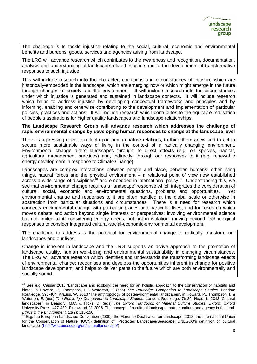The challenge is to tackle injustice relating to the social, cultural, economic and environmental benefits and burdens, goods, services and agencies arising from landscape.

The LRG will advance research which contributes to the awareness and recognition, documentation, analysis and understanding of landscape-related injustice and to the development of transformative responses to such injustice.

This will include research into the character, conditions and circumstances of injustice which are historically-embedded in the landscape, which are emerging now or which might emerge in the future through changes to society and the environment. It will include research into the circumstances under which injustice is generated and sustained in landscape contexts. It will include research which helps to address injustice by developing conceptual frameworks and principles and by informing, enabling and otherwise contributing to the development and implementation of particular policies, practices and actions. It will include research which contributes to the equitable realisation of people's aspirations for higher quality landscapes and landscape relationships.

#### **The Landscape Research Group will advance research which addresses the challenge of rapid environmental change by developing human responses to change at the landscape level**

There is a pressing need to reflect upon human-nature relations, to think them anew and to act to secure more sustainable ways of living in the context of a radically changing environment. Environmental change alters landscapes through its direct effects (e.g. on species, habitat, agricultural management practices) and, indirectly, through our responses to it (e.g. renewable energy development in response to Climate Change).

Landscapes are complex interactions between people and place, between humans, other living things, natural forces and the physical environment – a relational point of view now established across a wide range of disciplines<sup>10</sup> and embedded in international policy<sup>11</sup>. Understanding this, we see that environmental change requires a 'landscape' response which integrates the consideration of cultural, social, economic and environmental questions, problems and opportunities. Yet environmental change and responses to it are often handled at the global scale or otherwise in abstraction from particular situations and circumstances. There is a need for research which connects environmental change with particular places and particular lives, and for research which moves debate and action beyond single interests or perspectives: involving environmental science but not limited to it; considering energy needs, but not in isolation; moving beyond technological responses to consider integrated cultural-social-economic-environmental development.

The challenge to address is the potential for environmental change to radically transform our landscapes and our lives.

Change is inherent in landscape and the LRG supports an active approach to the promotion of landscape quality, human well-being and environmental sustainability in changing circumstances. The LRG will advance research which identifies and understands the transforming landscape effects of environmental change; recognises and develops the opportunities inherent in change for positive landscape development; and helps to deliver paths to the future which are both environmentally and socially sound.

<sup>&</sup>lt;sup>10</sup> See e.g. Cassar 2013 'Landscape and ecology: the need for an holistic approach to the conservation of habitats and biota', in Howard, P, Thompson, I & Waterton, E (eds) The Routledge Companion to Landscape Studies. London: Routledge, 395-404; Krauss, W. 2013 'The anthropology of postenvironmental landscapes', in Howard, P., Thompson, I. & Waterton, E. (eds) The Routledge Companion to Landscape Studies. London: Routledge, 76-86; Head, L. 2012 'Cultural landscapes', in Beaudry, M.C. & Hicks, D. (eds) The Oxford Handbook of Material Culture Studies. Oxford: Oxford University Press, 427-439; Plumwood, V. 2006. The concept of a cultural landscape: nature, culture and agency in the land. Ethics & the Environment, 11(2): 115-150.

<sup>11</sup> E.g. the European Landscape Convention (2000); the Florence Declaration on Landscape, 2012; the International Union for the Conservation of Nature (IUCN) definition of Protected Landscape/Seascape; UNESCO's definition of 'cultural landscape' (http://whc.unesco.org/en/culturallandscape/)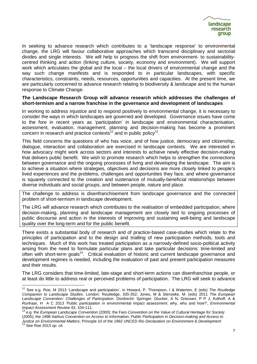In seeking to advance research which contributes to a 'landscape response' to environmental change, the LRG will favour collaborative approaches which transcend disciplinary and sectorial divides and single interests. We will help to progress the shift from environment- to sustainabilitycentred thinking and action (linking culture, society, economy and environment). We will support work which articulates the global and the local – the local drivers of environmental change and the way such change manifests and is responded to in particular landscapes, with specific characteristics, constraints, needs, resources, opportunities and capacities. At the present time, we are particularly concerned to advance research relating to biodiversity & landscape and to the human response to Climate Change.

#### **The Landscape Research Group will advance research which addresses the challenges of short-termism and a narrow franchise in the governance and development of landscapes**

In working to address injustice and to respond positively to environmental change, it is necessary to consider the ways in which landscapes are governed and developed. Governance issues have come to the fore in recent years as 'participation' in landscape and environmental characterisation, assessment, evaluation, management, planning and decision-making has become a prominent concern in research and practice contexts<sup>12</sup> and in public policy<sup>13</sup>.

This field concerns the questions of who has voice, and of how justice, democracy and citizenship, dialogue, interaction and collaboration are exercised in landscape contexts. We are interested in how advocacy might work across sectors and interests to achieve newly effective decision-making that delivers public benefit. We wish to promote research which helps to strengthen the connections between governance and the ongoing processes of living and developing the landscape. The aim is to achieve a situation where strategies, objectives and decisions are more closely linked to people's lived experiences and the problems, challenges and opportunities they face, and where governance is squarely connected to the creation and sustenance of mutually-beneficial relationships between diverse individuals and social groups, and between people, nature and place.

The challenge to address is disenfranchisement from landscape governance and the connected problem of short-termism in landscape development.

The LRG will advance research which contributes to the realisation of embedded participation, where decision-making, planning and landscape management are closely tied to ongoing processes of public discourse and action in the interests of improving and sustaining well-being and landscape quality over the long-term and for the public benefit.

There exists a substantial body of research and of practice-based case-studies which relate to the principles of participation and to the design and trialling of new participation methods, tools and techniques. Much of this work has treated participation as a narrowly-defined socio-political activity arising from the need to formulate particular plans and take particular decisions: time-limited and often with short-term goals<sup>14</sup>. Critical evaluation of historic and current landscape governance and development regimes is needed, including the evaluation of past and present participation measures and their results.

The LRG considers that time-limited, late-stage and short-term actions can disenfranchise people, or at least do little to address real or perceived problems of participation. The LRG will seek to advance

<sup>&</sup>lt;sup>12</sup> See e.g. Roe, M 2013 'Landscape and participation', in Howard, P, Thompson, I & Waterton, E (eds) The Routledge Companion to Landscape Studies. London: Routledge, 335-352; Jones, M & Stenseke, M. (eds) 2011 The European Landscape Convention: Challenges of Participation. Dordrecht: Springer; Glucker, A N, Driessen, P P J, Kolhoff, A & Runhaar, H A C 2013 'Public participation in environmental impact assessment: why, who and how?', Environmental Impact Assessment Review 43, 104-111.

<sup>13</sup> e.g. the European Landscape Convention (2000); the Faro Convention on the Value of Cultural Heritage for Society (2005); the 1998 Aarhus Convention on Access to Information, Public Participation in Decision-making and Access to Justice on Environmental Matters; Principle 10 of the 1992 UNCED Rio Declaration on Environment & Development

<sup>&</sup>lt;sup>14</sup> See Roe 2013 op. cit.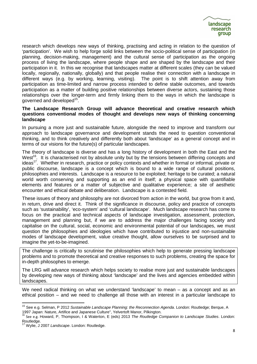research which develops new ways of thinking, practising and acting in relation to the question of 'participation'. We wish to help forge solid links between the socio-political sense of participation (in planning, decision-making, management) and the cultural sense of participation as the ongoing process of living the landscape, where people shape and are shaped by the landscape and their participation in it. In this we recognise that landscapes matter at different scales (they can be valued locally, regionally, nationally, globally) and that people realise their connection with a landscape in different ways (e.g. by working, learning, visiting). The point is to shift attention away from participation as time-limited and narrow process intended to define stable outcomes, and towards participation as a matter of building positive relationships between diverse actors, sustaining those relationships over the longer-term and firmly linking them to the ways in which the landscape is governed and developed<sup>15</sup>.

#### **The Landscape Research Group will advance theoretical and creative research which questions conventional modes of thought and develops new ways of thinking concerning landscape**

In pursuing a more just and sustainable future, alongside the need to improve and transform our approach to landscape governance and development stands the need to question conventional thinking, and to think creatively and differently both about 'landscape' as a general concept and in terms of our visions for the future(s) of particular landscapes.

The theory of landscape is diverse and has a long history of development in both the East and the West<sup>16</sup>. It is characterised not by absolute unity but by the tensions between differing concepts and ideas<sup>17</sup>. Whether in research, practice or policy contexts and whether in formal or informal, private or public discourse, landscape is a concept which is bound to a wide range of cultural positions, philosophies and interests. Landscape is a resource to be exploited; heritage to be curated; a natural world worth conserving and supporting as an end in itself; a physical space with quantifiable elements and features or a matter of subjective and qualitative experience; a site of aesthetic encounter and ethical debate and deliberation. Landscape is a contested field.

These issues of theory and philosophy are not divorced from action in the world, but grow from it and, in return, drive and direct it. Think of the significance in discourse, policy and practice of concepts such as 'sustainability', 'eco-system' and 'cultural landscape'. Much landscape research has come to focus on the practical and technical aspects of landscape investigation, assessment, protection, management and planning but, if we are to address the major challenges facing society and capitalise on the cultural, social, economic and environmental potential of our landscapes, we must question the philosophies and ideologies which have contributed to injustice and non-sustainable modes of landscape development, value creative thought, allow ourselves to be surprised and to imagine the yet-to-be-imagined.

The challenge is critically to scrutinise the philosophies which help to generate pressing landscape problems and to promote theoretical and creative responses to such problems, creating the space for in-depth philosophes to emerge.

The LRG will advance research which helps society to realise more just and sustainable landscapes by developing new ways of thinking about 'landscape' and the lives and agencies embedded within landscapes.

We need radical thinking on what we understand 'landscape' to mean – as a concept and as an ethical position – and we need to challenge all those with an interest in a particular landscape to

l

<sup>&</sup>lt;sup>15</sup> See e.g. Selman, P 2012 Sustainable Landscape Planning: the Reconnection Agenda. London: Routledge; Berque, A 1997 Japan: Nature, Artifice and Japanese Culture", Yelvertoft Manor, Pilkington.

<sup>&</sup>lt;sup>16</sup> See e.g. Howard, P, Thompson, I & Waterton, E (eds) 2013 The Routledge Companion to Landscape Studies. London: Routledge.

Wylie, J 2007 Landscape. London: Routledge.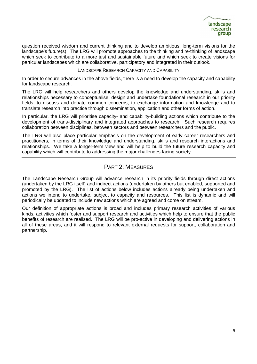question received wisdom and current thinking and to develop ambitious, long-term visions for the landscape's future(s). The LRG will promote approaches to the thinking and re-thinking of landscape which seek to contribute to a more just and sustainable future and which seek to create visions for particular landscapes which are collaborative, participatory and integrated in their outlook.

#### LANDSCAPE RESEARCH CAPACITY AND CAPABILITY

In order to secure advances in the above fields, there is a need to develop the capacity and capability for landscape research.

The LRG will help researchers and others develop the knowledge and understanding, skills and relationships necessary to conceptualise, design and undertake foundational research in our priority fields, to discuss and debate common concerns, to exchange information and knowledge and to translate research into practice through dissemination, application and other forms of action.

In particular, the LRG will prioritise capacity- and capability-building actions which contribute to the development of trans-disciplinary and integrated approaches to research. Such research requires collaboration between disciplines, between sectors and between researchers and the public.

The LRG will also place particular emphasis on the development of early career researchers and practitioners, in terms of their knowledge and understanding, skills and research interactions and relationships. We take a longer-term view and will help to build the future research capacity and capability which will contribute to addressing the major challenges facing society.

## PART 2: MEASURES

The Landscape Research Group will advance research in its priority fields through direct actions (undertaken by the LRG itself) and indirect actions (undertaken by others but enabled, supported and promoted by the LRG). The list of actions below includes actions already being undertaken and actions we intend to undertake, subject to capacity and resources. This list is dynamic and will periodically be updated to include new actions which are agreed and come on stream.

Our definition of appropriate actions is broad and includes primary research activities of various kinds, activities which foster and support research and activities which help to ensure that the public benefits of research are realised. The LRG will be pro-active in developing and delivering actions in all of these areas, and it will respond to relevant external requests for support, collaboration and partnership.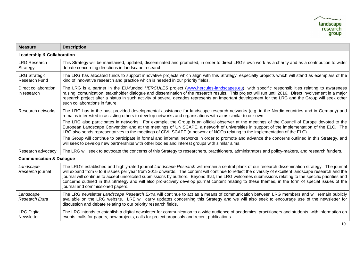| <b>Measure</b>                        | <b>Description</b>                                                                                                                                                                                                                                                                                                                                                                                                                                                                                                                                                                                                                                              |
|---------------------------------------|-----------------------------------------------------------------------------------------------------------------------------------------------------------------------------------------------------------------------------------------------------------------------------------------------------------------------------------------------------------------------------------------------------------------------------------------------------------------------------------------------------------------------------------------------------------------------------------------------------------------------------------------------------------------|
| <b>Leadership &amp; Collaboration</b> |                                                                                                                                                                                                                                                                                                                                                                                                                                                                                                                                                                                                                                                                 |
| <b>LRG Research</b><br>Strategy       | This Strategy will be maintained, updated, disseminated and promoted, in order to direct LRG's own work as a charity and as a contribution to wider<br>debate concerning directions in landscape research.                                                                                                                                                                                                                                                                                                                                                                                                                                                      |
| <b>LRG Strategic</b><br>Research Fund | The LRG has allocated funds to support innovative projects which align with this Strategy, especially projects which will stand as exemplars of the<br>kind of innovative research and practice which is needed in our priority fields.                                                                                                                                                                                                                                                                                                                                                                                                                         |
| Direct collaboration<br>in research   | The LRG is a partner in the EU-funded HERCULES project (www.hercules-landscapes.eu), with specific responsibilities relating to awareness<br>raising, comunication, stakeholder dialogue and dissemination of the research results. This project will run until 2016. Direct involvement in a major<br>research project after a hiatus in such activity of several decades represents an important development for the LRG and the Group will seek other<br>such collaborations in future.                                                                                                                                                                      |
| Research networks                     | The LRG has in the past provided developmental assistance for landscape research networks (e.g. in the Nordic countries and in Germany) and<br>remains interested in assisting others to develop networks and organisations with aims similar to our own.                                                                                                                                                                                                                                                                                                                                                                                                       |
|                                       | The LRG also participates in networks. For example, the Group is an official observer at the meetings of the Council of Europe devoted to the<br>European Landscape Convention and at the meetings of UNISCAPE, a network of universities in support of the implementation of the ELC. The<br>LRG also sends representatives to the meetings of CIVILSCAPE (a network of NGOs relating to the implementation of the ELC).                                                                                                                                                                                                                                       |
|                                       | The Group will continue to participate in formal and informal networks in order to promote and advance the concerns outlined in this Strategy, and<br>will seek to develop new partnerships with other bodies and interest groups with similar aims.                                                                                                                                                                                                                                                                                                                                                                                                            |
| Research advocacy                     | The LRG will seek to advocate the concerns of this Strategy to researchers, practitioners, administrators and policy-makers, and research funders.                                                                                                                                                                                                                                                                                                                                                                                                                                                                                                              |
| <b>Communication &amp; Dialogue</b>   |                                                                                                                                                                                                                                                                                                                                                                                                                                                                                                                                                                                                                                                                 |
| Landscape<br>Research journal         | The LRG's established and highly-rated journal Landscape Research will remain a central plank of our research dissemination strategy. The journal<br>will expand from 6 to 8 issues per year from 2015 onwards. The content will continue to reflect the diversity of excellent landscape research and the<br>journal will continue to accept unsolicited submissions by authors. Beyond that, the LRG welcomes submissions relating to the specific priorities and<br>concerns outlined in this Strategy and will also pro-actively develop journal content relating to these themes, in the form of special issues of the<br>journal and commissioned papers. |
| Landscape<br>Research Extra           | The LRG newsletter Landscape Research Extra will continue to act as a means of communication between LRG members and will remain publicly<br>available on the LRG website. LRE will carry updates concerning this Strategy and we will also seek to encourage use of the newsletter for<br>discussion and debate relating to our priority research fields.                                                                                                                                                                                                                                                                                                      |
| <b>LRG Digital</b><br>Newsletter      | The LRG intends to establish a digital newsletter for communication to a wide audience of academics, practitioners and students, with information on<br>events, calls for papers, new projects, calls for project proposals and recent publications.                                                                                                                                                                                                                                                                                                                                                                                                            |